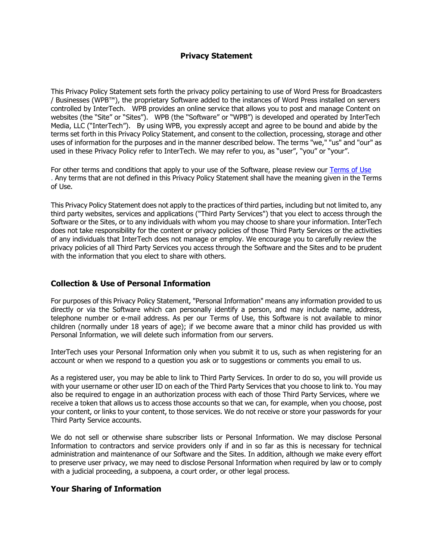# **Privacy Statement**

This Privacy Policy Statement sets forth the privacy policy pertaining to use of Word Press for Broadcasters / Businesses (WPB™), the proprietary Software added to the instances of Word Press installed on servers controlled by InterTech. WPB provides an online service that allows you to post and manage Content on websites (the "Site" or "Sites"). WPB (the "Software" or "WPB") is developed and operated by InterTech Media, LLC ("InterTech"). By using WPB, you expressly accept and agree to be bound and abide by the terms set forth in this Privacy Policy Statement, and consent to the collection, processing, storage and other uses of information for the purposes and in the manner described below. The terms "we," "us" and "our" as used in these Privacy Policy refer to InterTech. We may refer to you, as "user", "you" or "your".

For other terms and conditions that apply to your use of the Software, please review our [Terms of Use](http://www.intertechmedia.com/wpb-terms) . Any terms that are not defined in this Privacy Policy Statement shall have the meaning given in the Terms of Use.

This Privacy Policy Statement does not apply to the practices of third parties, including but not limited to, any third party websites, services and applications ("Third Party Services") that you elect to access through the Software or the Sites, or to any individuals with whom you may choose to share your information. InterTech does not take responsibility for the content or privacy policies of those Third Party Services or the activities of any individuals that InterTech does not manage or employ. We encourage you to carefully review the privacy policies of all Third Party Services you access through the Software and the Sites and to be prudent with the information that you elect to share with others.

# **Collection & Use of Personal Information**

For purposes of this Privacy Policy Statement, "Personal Information" means any information provided to us directly or via the Software which can personally identify a person, and may include name, address, telephone number or e-mail address. As per our Terms of Use, this Software is not available to minor children (normally under 18 years of age); if we become aware that a minor child has provided us with Personal Information, we will delete such information from our servers.

InterTech uses your Personal Information only when you submit it to us, such as when registering for an account or when we respond to a question you ask or to suggestions or comments you email to us.

As a registered user, you may be able to link to Third Party Services. In order to do so, you will provide us with your username or other user ID on each of the Third Party Services that you choose to link to. You may also be required to engage in an authorization process with each of those Third Party Services, where we receive a token that allows us to access those accounts so that we can, for example, when you choose, post your content, or links to your content, to those services. We do not receive or store your passwords for your Third Party Service accounts.

We do not sell or otherwise share subscriber lists or Personal Information. We may disclose Personal Information to contractors and service providers only if and in so far as this is necessary for technical administration and maintenance of our Software and the Sites. In addition, although we make every effort to preserve user privacy, we may need to disclose Personal Information when required by law or to comply with a judicial proceeding, a subpoena, a court order, or other legal process.

## **Your Sharing of Information**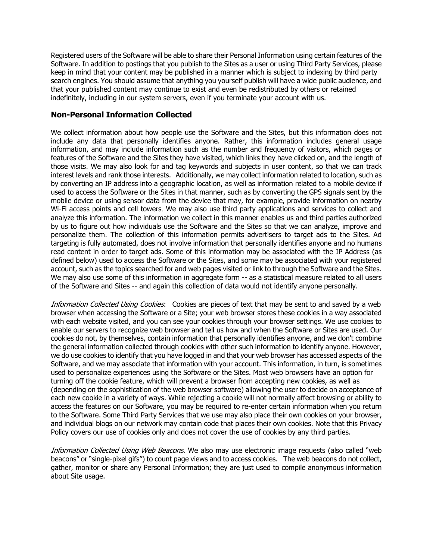Registered users of the Software will be able to share their Personal Information using certain features of the Software. In addition to postings that you publish to the Sites as a user or using Third Party Services, please keep in mind that your content may be published in a manner which is subject to indexing by third party search engines. You should assume that anything you yourself publish will have a wide public audience, and that your published content may continue to exist and even be redistributed by others or retained indefinitely, including in our system servers, even if you terminate your account with us.

## **Non-Personal Information Collected**

We collect information about how people use the Software and the Sites, but this information does not include any data that personally identifies anyone. Rather, this information includes general usage information, and may include information such as the number and frequency of visitors, which pages or features of the Software and the Sites they have visited, which links they have clicked on, and the length of those visits. We may also look for and tag keywords and subjects in user content, so that we can track interest levels and rank those interests. Additionally, we may collect information related to location, such as by converting an IP address into a geographic location, as well as information related to a mobile device if used to access the Software or the Sites in that manner, such as by converting the GPS signals sent by the mobile device or using sensor data from the device that may, for example, provide information on nearby Wi-Fi access points and cell towers. We may also use third party applications and services to collect and analyze this information. The information we collect in this manner enables us and third parties authorized by us to figure out how individuals use the Software and the Sites so that we can analyze, improve and personalize them. The collection of this information permits advertisers to target ads to the Sites. Ad targeting is fully automated, does not involve information that personally identifies anyone and no humans read content in order to target ads. Some of this information may be associated with the IP Address (as defined below) used to access the Software or the Sites, and some may be associated with your registered account, such as the topics searched for and web pages visited or link to through the Software and the Sites. We may also use some of this information in aggregate form -- as a statistical measure related to all users of the Software and Sites -- and again this collection of data would not identify anyone personally.

Information Collected Using Cookies: Cookies are pieces of text that may be sent to and saved by a web browser when accessing the Software or a Site; your web browser stores these cookies in a way associated with each website visited, and you can see your cookies through your browser settings. We use cookies to enable our servers to recognize web browser and tell us how and when the Software or Sites are used. Our cookies do not, by themselves, contain information that personally identifies anyone, and we don't combine the general information collected through cookies with other such information to identify anyone. However, we do use cookies to identify that you have logged in and that your web browser has accessed aspects of the Software, and we may associate that information with your account. This information, in turn, is sometimes used to personalize experiences using the Software or the Sites. Most web browsers have an option for turning off the cookie feature, which will prevent a browser from accepting new cookies, as well as (depending on the sophistication of the web browser software) allowing the user to decide on acceptance of each new cookie in a variety of ways. While rejecting a cookie will not normally affect browsing or ability to access the features on our Software, you may be required to re-enter certain information when you return to the Software. Some Third Party Services that we use may also place their own cookies on your browser, and individual blogs on our network may contain code that places their own cookies. Note that this Privacy Policy covers our use of cookies only and does not cover the use of cookies by any third parties.

Information Collected Using Web Beacons. We also may use electronic image requests (also called "web beacons" or "single-pixel gifs") to count page views and to access cookies. The web beacons do not collect, gather, monitor or share any Personal Information; they are just used to compile anonymous information about Site usage.